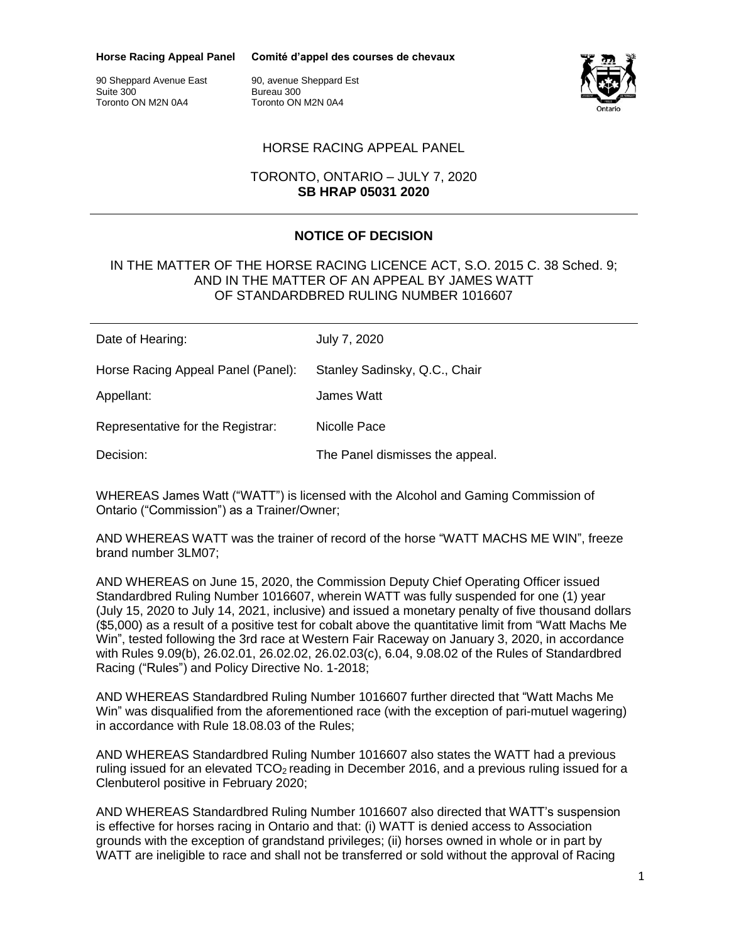**Horse Racing Appeal Panel**

**Comité d'appel des courses de chevaux**

90 Sheppard Avenue East Suite 300 Toronto ON M2N 0A4

90, avenue Sheppard Est Bureau 300 Toronto ON M2N 0A4



## HORSE RACING APPEAL PANEL

### TORONTO, ONTARIO – JULY 7, 2020 **SB HRAP 05031 2020**

# **NOTICE OF DECISION**

#### IN THE MATTER OF THE HORSE RACING LICENCE ACT, S.O. 2015 C. 38 Sched. 9; AND IN THE MATTER OF AN APPEAL BY JAMES WATT OF STANDARDBRED RULING NUMBER 1016607

| Date of Hearing:                   | July 7, 2020                    |
|------------------------------------|---------------------------------|
| Horse Racing Appeal Panel (Panel): | Stanley Sadinsky, Q.C., Chair   |
| Appellant:                         | James Watt                      |
| Representative for the Registrar:  | Nicolle Pace                    |
| Decision:                          | The Panel dismisses the appeal. |

WHEREAS James Watt ("WATT") is licensed with the Alcohol and Gaming Commission of Ontario ("Commission") as a Trainer/Owner;

AND WHEREAS WATT was the trainer of record of the horse "WATT MACHS ME WIN", freeze brand number 3LM07;

AND WHEREAS on June 15, 2020, the Commission Deputy Chief Operating Officer issued Standardbred Ruling Number 1016607, wherein WATT was fully suspended for one (1) year (July 15, 2020 to July 14, 2021, inclusive) and issued a monetary penalty of five thousand dollars (\$5,000) as a result of a positive test for cobalt above the quantitative limit from "Watt Machs Me Win", tested following the 3rd race at Western Fair Raceway on January 3, 2020, in accordance with Rules 9.09(b), 26.02.01, 26.02.02, 26.02.03(c), 6.04, 9.08.02 of the Rules of Standardbred Racing ("Rules") and Policy Directive No. 1-2018;

AND WHEREAS Standardbred Ruling Number 1016607 further directed that "Watt Machs Me Win" was disqualified from the aforementioned race (with the exception of pari-mutuel wagering) in accordance with Rule 18.08.03 of the Rules;

AND WHEREAS Standardbred Ruling Number 1016607 also states the WATT had a previous ruling issued for an elevated  $TCO<sub>2</sub>$  reading in December 2016, and a previous ruling issued for a Clenbuterol positive in February 2020;

AND WHEREAS Standardbred Ruling Number 1016607 also directed that WATT's suspension is effective for horses racing in Ontario and that: (i) WATT is denied access to Association grounds with the exception of grandstand privileges; (ii) horses owned in whole or in part by WATT are ineligible to race and shall not be transferred or sold without the approval of Racing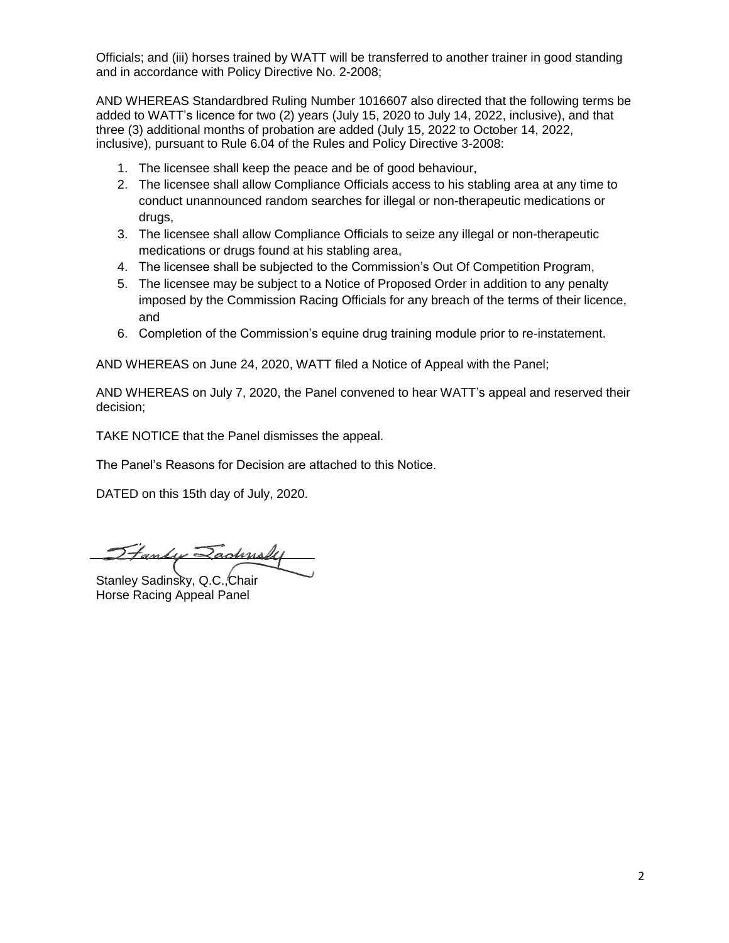Officials; and (iii) horses trained by WATT will be transferred to another trainer in good standing and in accordance with Policy Directive No. 2-2008;

AND WHEREAS Standardbred Ruling Number 1016607 also directed that the following terms be added to WATT's licence for two (2) years (July 15, 2020 to July 14, 2022, inclusive), and that three (3) additional months of probation are added (July 15, 2022 to October 14, 2022, inclusive), pursuant to Rule 6.04 of the Rules and Policy Directive 3-2008:

- 1. The licensee shall keep the peace and be of good behaviour,
- 2. The licensee shall allow Compliance Officials access to his stabling area at any time to conduct unannounced random searches for illegal or non-therapeutic medications or drugs,
- 3. The licensee shall allow Compliance Officials to seize any illegal or non-therapeutic medications or drugs found at his stabling area,
- 4. The licensee shall be subjected to the Commission's Out Of Competition Program,
- 5. The licensee may be subject to a Notice of Proposed Order in addition to any penalty imposed by the Commission Racing Officials for any breach of the terms of their licence, and
- 6. Completion of the Commission's equine drug training module prior to re-instatement.

AND WHEREAS on June 24, 2020, WATT filed a Notice of Appeal with the Panel;

AND WHEREAS on July 7, 2020, the Panel convened to hear WATT's appeal and reserved their decision;

TAKE NOTICE that the Panel dismisses the appeal.

The Panel's Reasons for Decision are attached to this Notice.

DATED on this 15th day of July, 2020.

<u>Stanley Zachnshi</u>

Stanley Sadinsky, Q.C., Chair Horse Racing Appeal Panel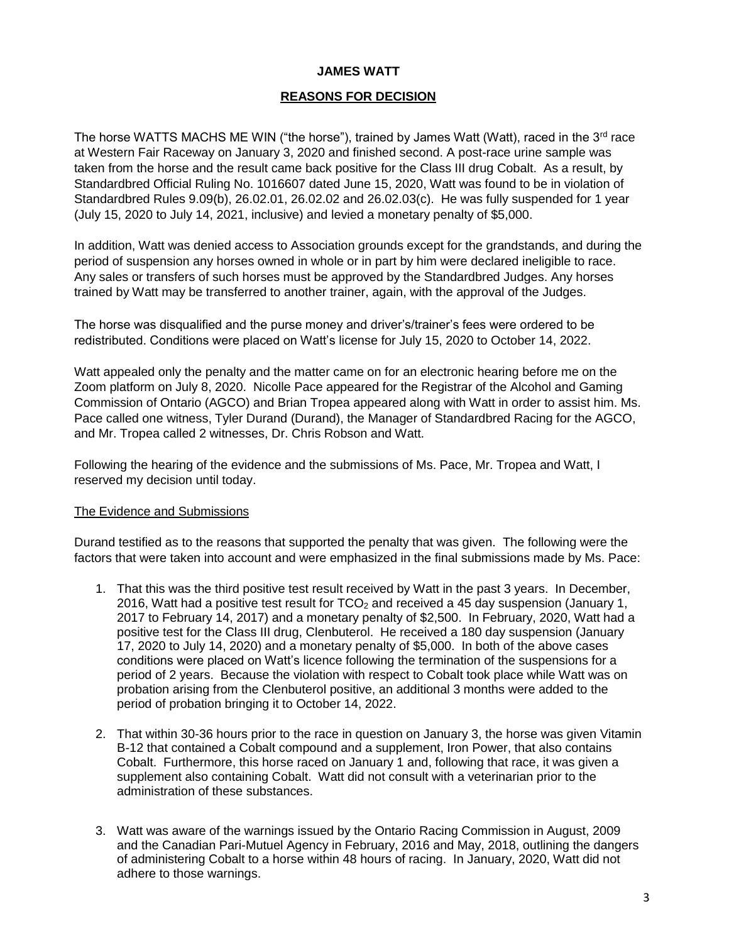### **JAMES WATT**

### **REASONS FOR DECISION**

The horse WATTS MACHS ME WIN ("the horse"), trained by James Watt (Watt), raced in the  $3<sup>rd</sup>$  race at Western Fair Raceway on January 3, 2020 and finished second. A post-race urine sample was taken from the horse and the result came back positive for the Class III drug Cobalt. As a result, by Standardbred Official Ruling No. 1016607 dated June 15, 2020, Watt was found to be in violation of Standardbred Rules 9.09(b), 26.02.01, 26.02.02 and 26.02.03(c). He was fully suspended for 1 year (July 15, 2020 to July 14, 2021, inclusive) and levied a monetary penalty of \$5,000.

In addition, Watt was denied access to Association grounds except for the grandstands, and during the period of suspension any horses owned in whole or in part by him were declared ineligible to race. Any sales or transfers of such horses must be approved by the Standardbred Judges. Any horses trained by Watt may be transferred to another trainer, again, with the approval of the Judges.

The horse was disqualified and the purse money and driver's/trainer's fees were ordered to be redistributed. Conditions were placed on Watt's license for July 15, 2020 to October 14, 2022.

Watt appealed only the penalty and the matter came on for an electronic hearing before me on the Zoom platform on July 8, 2020. Nicolle Pace appeared for the Registrar of the Alcohol and Gaming Commission of Ontario (AGCO) and Brian Tropea appeared along with Watt in order to assist him. Ms. Pace called one witness, Tyler Durand (Durand), the Manager of Standardbred Racing for the AGCO, and Mr. Tropea called 2 witnesses, Dr. Chris Robson and Watt.

Following the hearing of the evidence and the submissions of Ms. Pace, Mr. Tropea and Watt, I reserved my decision until today.

#### The Evidence and Submissions

Durand testified as to the reasons that supported the penalty that was given. The following were the factors that were taken into account and were emphasized in the final submissions made by Ms. Pace:

- 1. That this was the third positive test result received by Watt in the past 3 years. In December, 2016, Watt had a positive test result for  $TCO<sub>2</sub>$  and received a 45 day suspension (January 1, 2017 to February 14, 2017) and a monetary penalty of \$2,500. In February, 2020, Watt had a positive test for the Class III drug, Clenbuterol. He received a 180 day suspension (January 17, 2020 to July 14, 2020) and a monetary penalty of \$5,000. In both of the above cases conditions were placed on Watt's licence following the termination of the suspensions for a period of 2 years. Because the violation with respect to Cobalt took place while Watt was on probation arising from the Clenbuterol positive, an additional 3 months were added to the period of probation bringing it to October 14, 2022.
- 2. That within 30-36 hours prior to the race in question on January 3, the horse was given Vitamin B-12 that contained a Cobalt compound and a supplement, Iron Power, that also contains Cobalt. Furthermore, this horse raced on January 1 and, following that race, it was given a supplement also containing Cobalt. Watt did not consult with a veterinarian prior to the administration of these substances.
- 3. Watt was aware of the warnings issued by the Ontario Racing Commission in August, 2009 and the Canadian Pari-Mutuel Agency in February, 2016 and May, 2018, outlining the dangers of administering Cobalt to a horse within 48 hours of racing. In January, 2020, Watt did not adhere to those warnings.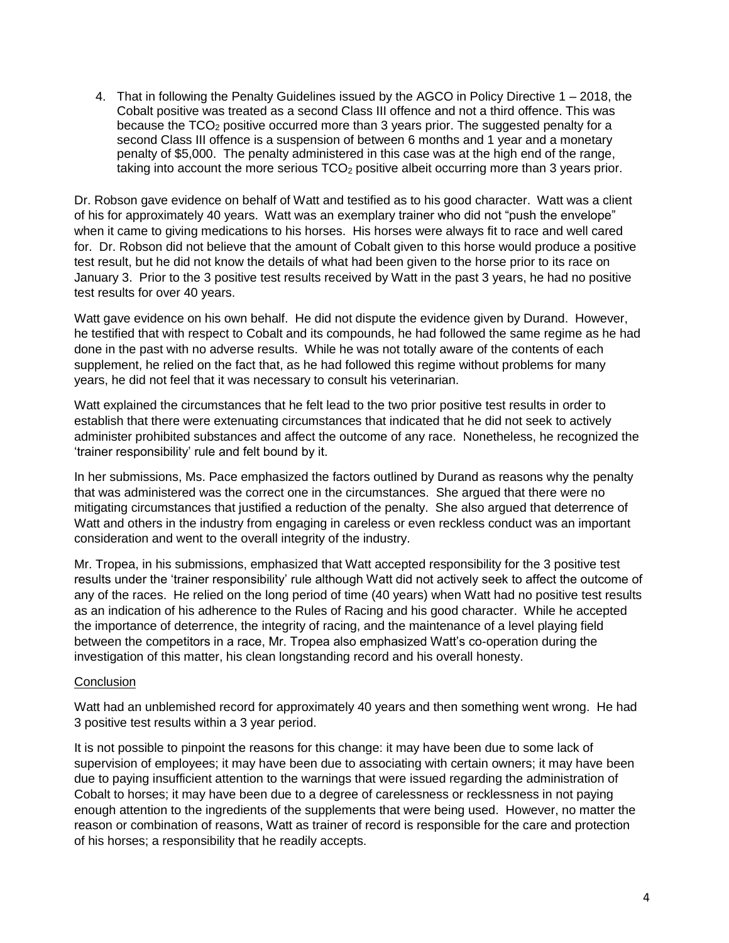4. That in following the Penalty Guidelines issued by the AGCO in Policy Directive 1 – 2018, the Cobalt positive was treated as a second Class III offence and not a third offence. This was because the  $TCO<sub>2</sub>$  positive occurred more than 3 years prior. The suggested penalty for a second Class III offence is a suspension of between 6 months and 1 year and a monetary penalty of \$5,000. The penalty administered in this case was at the high end of the range, taking into account the more serious TCO<sub>2</sub> positive albeit occurring more than 3 years prior.

Dr. Robson gave evidence on behalf of Watt and testified as to his good character. Watt was a client of his for approximately 40 years. Watt was an exemplary trainer who did not "push the envelope" when it came to giving medications to his horses. His horses were always fit to race and well cared for. Dr. Robson did not believe that the amount of Cobalt given to this horse would produce a positive test result, but he did not know the details of what had been given to the horse prior to its race on January 3. Prior to the 3 positive test results received by Watt in the past 3 years, he had no positive test results for over 40 years.

Watt gave evidence on his own behalf. He did not dispute the evidence given by Durand. However, he testified that with respect to Cobalt and its compounds, he had followed the same regime as he had done in the past with no adverse results. While he was not totally aware of the contents of each supplement, he relied on the fact that, as he had followed this regime without problems for many years, he did not feel that it was necessary to consult his veterinarian.

Watt explained the circumstances that he felt lead to the two prior positive test results in order to establish that there were extenuating circumstances that indicated that he did not seek to actively administer prohibited substances and affect the outcome of any race. Nonetheless, he recognized the 'trainer responsibility' rule and felt bound by it.

In her submissions, Ms. Pace emphasized the factors outlined by Durand as reasons why the penalty that was administered was the correct one in the circumstances. She argued that there were no mitigating circumstances that justified a reduction of the penalty. She also argued that deterrence of Watt and others in the industry from engaging in careless or even reckless conduct was an important consideration and went to the overall integrity of the industry.

Mr. Tropea, in his submissions, emphasized that Watt accepted responsibility for the 3 positive test results under the 'trainer responsibility' rule although Watt did not actively seek to affect the outcome of any of the races. He relied on the long period of time (40 years) when Watt had no positive test results as an indication of his adherence to the Rules of Racing and his good character. While he accepted the importance of deterrence, the integrity of racing, and the maintenance of a level playing field between the competitors in a race, Mr. Tropea also emphasized Watt's co-operation during the investigation of this matter, his clean longstanding record and his overall honesty.

#### **Conclusion**

Watt had an unblemished record for approximately 40 years and then something went wrong. He had 3 positive test results within a 3 year period.

It is not possible to pinpoint the reasons for this change: it may have been due to some lack of supervision of employees; it may have been due to associating with certain owners; it may have been due to paying insufficient attention to the warnings that were issued regarding the administration of Cobalt to horses; it may have been due to a degree of carelessness or recklessness in not paying enough attention to the ingredients of the supplements that were being used. However, no matter the reason or combination of reasons, Watt as trainer of record is responsible for the care and protection of his horses; a responsibility that he readily accepts.